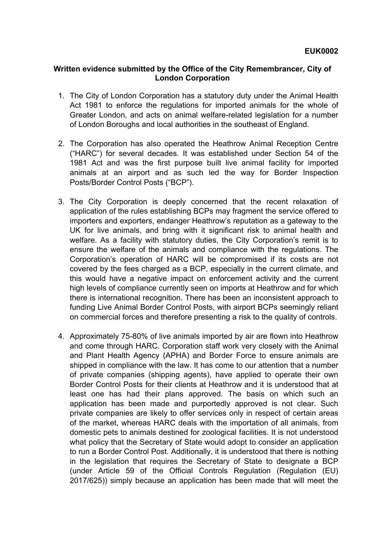## **Written evidence submitted by the Office of the City Remembrancer, City of London Corporation**

- 1. The City of London Corporation has a statutory duty under the Animal Health Act 1981 to enforce the regulations for imported animals for the whole of Greater London, and acts on animal welfare-related legislation for a number of London Boroughs and local authorities in the southeast of England.
- 2. The Corporation has also operated the Heathrow Animal Reception Centre ("HARC") for several decades. It was established under Section 54 of the 1981 Act and was the first purpose built live animal facility for imported animals at an airport and as such led the way for Border Inspection Posts/Border Control Posts ("BCP").
- 3. The City Corporation is deeply concerned that the recent relaxation of application of the rules establishing BCPs may fragment the service offered to importers and exporters, endanger Heathrow's reputation as a gateway to the UK for live animals, and bring with it significant risk to animal health and welfare. As a facility with statutory duties, the City Corporation's remit is to ensure the welfare of the animals and compliance with the regulations. The Corporation's operation of HARC will be compromised if its costs are not covered by the fees charged as a BCP, especially in the current climate, and this would have a negative impact on enforcement activity and the current high levels of compliance currently seen on imports at Heathrow and for which there is international recognition. There has been an inconsistent approach to funding Live Animal Border Control Posts, with airport BCPs seemingly reliant on commercial forces and therefore presenting a risk to the quality of controls.
- 4. Approximately 75-80% of live animals imported by air are flown into Heathrow and come through HARC. Corporation staff work very closely with the Animal and Plant Health Agency (APHA) and Border Force to ensure animals are shipped in compliance with the law. It has come to our attention that a number of private companies (shipping agents), have applied to operate their own Border Control Posts for their clients at Heathrow and it is understood that at least one has had their plans approved. The basis on which such an application has been made and purportedly approved is not clear. Such private companies are likely to offer services only in respect of certain areas of the market, whereas HARC deals with the importation of all animals, from domestic pets to animals destined for zoological facilities. It is not understood what policy that the Secretary of State would adopt to consider an application to run a Border Control Post. Additionally, it is understood that there is nothing in the legislation that requires the Secretary of State to designate a BCP (under Article 59 of the Official Controls Regulation (Regulation (EU) 2017/625)) simply because an application has been made that will meet the